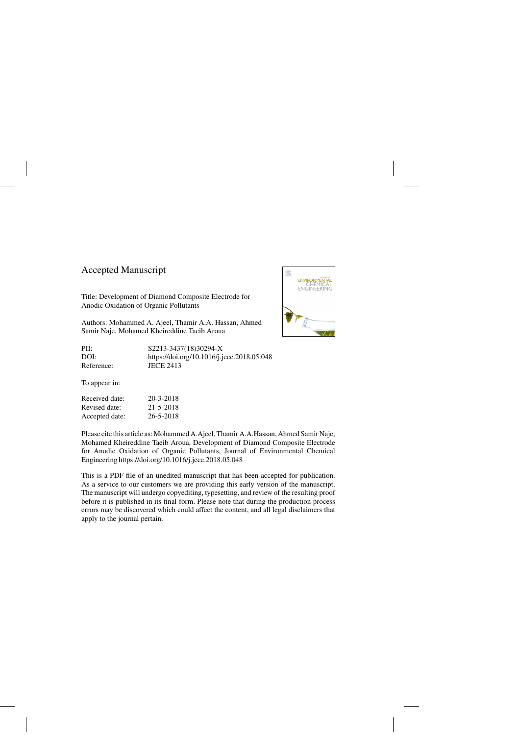## Accepted Manuscript

Title: Development of Diamond Composite Electrode for Anodic Oxidation of Organic Pollutants

Authors: Mohammed A. Ajeel, Thamir A.A. Hassan, Ahmed Samir Naje, Mohamed Kheireddine Taeib Aroua

PII: S2213-3437(18)30294-X DOI:<https://doi.org/10.1016/j.jece.2018.05.048> Reference: JECE 2413



Received date: 20-3-2018 Revised date: 21-5-2018 Accepted date: 26-5-2018

Please cite this article as: Mohammed A.Ajeel, Thamir A.A.Hassan, Ahmed Samir Naje, Mohamed Kheireddine Taeib Aroua, Development of Diamond Composite Electrode for Anodic Oxidation of Organic Pollutants, Journal of Environmental Chemical Engineering<https://doi.org/10.1016/j.jece.2018.05.048>

This is a PDF file of an unedited manuscript that has been accepted for publication. As a service to our customers we are providing this early version of the manuscript. The manuscript will undergo copyediting, typesetting, and review of the resulting proof before it is published in its final form. Please note that during the production process errors may be discovered which could affect the content, and all legal disclaimers that apply to the journal pertain.

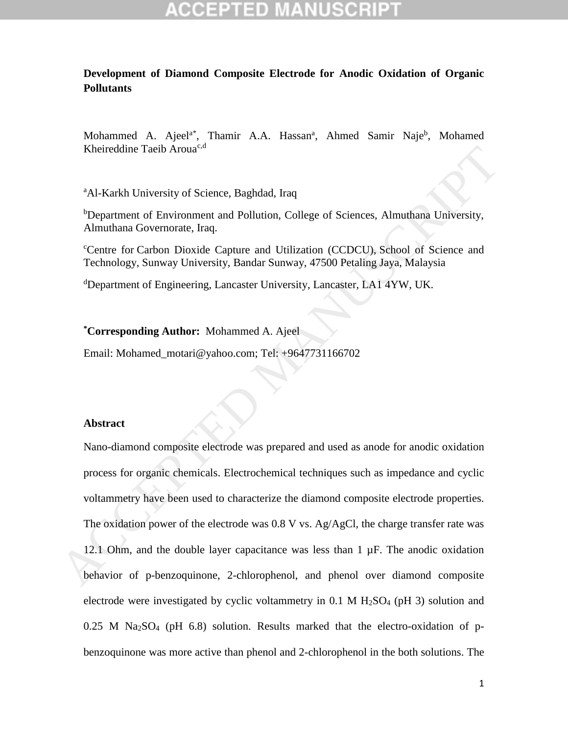## **Development of Diamond Composite Electrode for Anodic Oxidation of Organic Pollutants**

Mohammed A. Ajeel<sup>a\*</sup>, Thamir A.A. Hassan<sup>a</sup>, Ahmed Samir Naje<sup>b</sup>, Mohamed Kheireddine Taeib Aroua<sup>c,d</sup>

<sup>a</sup>Al-Karkh University of Science, Baghdad, Iraq

<sup>b</sup>Department of Environment and Pollution, College of Sciences, Almuthana University, Almuthana Governorate, Iraq.

<sup>c</sup>Centre for Carbon Dioxide Capture and Utilization (CCDCU), School of Science and Technology, Sunway University, Bandar Sunway, 47500 Petaling Jaya, Malaysia

<sup>d</sup>Department of Engineering, Lancaster University, Lancaster, LA1 4YW, UK.

**\*Corresponding Author:** Mohammed A. Ajeel

Email: Mohamed\_motari@yahoo.com; Tel: +9647731166702

### **Abstract**

Nano-diamond composite electrode was prepared and used as anode for anodic oxidation process for organic chemicals. Electrochemical techniques such as impedance and cyclic voltammetry have been used to characterize the diamond composite electrode properties. The oxidation power of the electrode was 0.8 V vs. Ag/AgCl, the charge transfer rate was 12.1 Ohm, and the double layer capacitance was less than  $1 \mu F$ . The anodic oxidation behavior of p-benzoquinone, 2-chlorophenol, and phenol over diamond composite electrode were investigated by cyclic voltammetry in  $0.1$  M  $H<sub>2</sub>SO<sub>4</sub>$  (pH 3) solution and  $0.25$  M Na<sub>2</sub>SO<sub>4</sub> (pH  $6.8$ ) solution. Results marked that the electro-oxidation of pbenzoquinone was more active than phenol and 2-chlorophenol in the both solutions. The Kheireddine Tacib Aroua<sup>ca</sup><br>
"Al-Karkh University of Science, Baghdad, Iraq<br>
"Department of Environment and Pollution, College of Sciences, Almuthana University,<br>
Almuthana Governorate, Iraq.<br>
"Centre for Carbon Dioxide C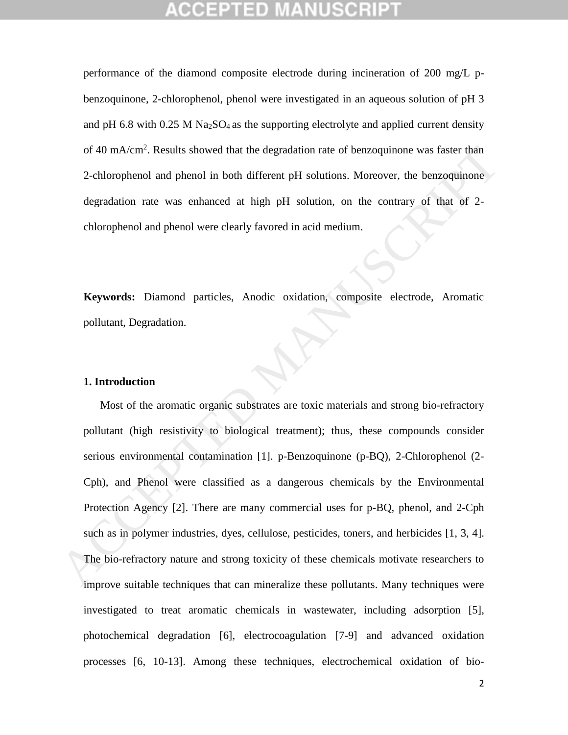performance of the diamond composite electrode during incineration of 200 mg/L pbenzoquinone, 2-chlorophenol, phenol were investigated in an aqueous solution of pH 3 and pH 6.8 with  $0.25$  M Na<sub>2</sub>SO<sub>4</sub> as the supporting electrolyte and applied current density of 40 mA/cm<sup>2</sup>. Results showed that the degradation rate of benzoquinone was faster than 2-chlorophenol and phenol in both different pH solutions. Moreover, the benzoquinone degradation rate was enhanced at high pH solution, on the contrary of that of 2 chlorophenol and phenol were clearly favored in acid medium.

**Keywords:** Diamond particles, Anodic oxidation, composite electrode, Aromatic pollutant, Degradation.

### **1. Introduction**

Most of the aromatic organic substrates are toxic materials and strong bio-refractory pollutant (high resistivity to biological treatment); thus, these compounds consider serious environmental contamination [1]. p-Benzoquinone (p-BQ), 2-Chlorophenol (2- Cph), and Phenol were classified as a dangerous chemicals by the Environmental Protection Agency [2]. There are many commercial uses for p-BQ, phenol, and 2-Cph such as in polymer industries, dyes, cellulose, pesticides, toners, and herbicides [1, 3, 4]. The bio-refractory nature and strong toxicity of these chemicals motivate researchers to improve suitable techniques that can mineralize these pollutants. Many techniques were investigated to treat aromatic chemicals in wastewater, including adsorption [5], photochemical degradation [6], electrocoagulation [7-9] and advanced oxidation processes [6, 10-13]. Among these techniques, electrochemical oxidation of bioof 40 mA/cm<sup>2</sup>. Results showed that the degradation rate of benzoquinone was faster than<br>2-chlorophenol and phenol in both different pH solutions. Moreover, the benzoquinone<br>degradation rate was enhanced at high pH solutio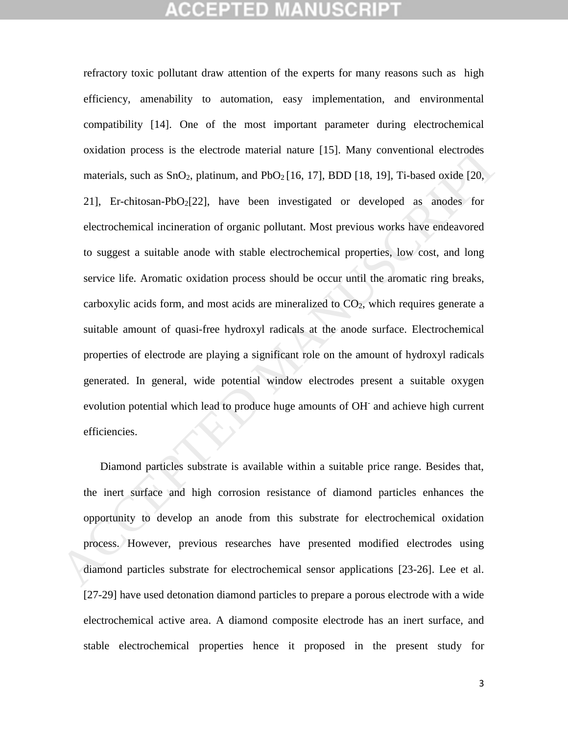# EPTED

refractory toxic pollutant draw attention of the experts for many reasons such as high efficiency, amenability to automation, easy implementation, and environmental compatibility [14]. One of the most important parameter during electrochemical oxidation process is the electrode material nature [15]. Many conventional electrodes materials, such as  $SnO<sub>2</sub>$ , platinum, and  $PbO<sub>2</sub>[16, 17]$ , BDD [18, 19], Ti-based oxide [20, 21], Er-chitosan-PbO<sub>2</sub>[22], have been investigated or developed as anodes for electrochemical incineration of organic pollutant. Most previous works have endeavored to suggest a suitable anode with stable electrochemical properties, low cost, and long service life. Aromatic oxidation process should be occur until the aromatic ring breaks, carboxylic acids form, and most acids are mineralized to  $CO<sub>2</sub>$ , which requires generate a suitable amount of quasi-free hydroxyl radicals at the anode surface. Electrochemical properties of electrode are playing a significant role on the amount of hydroxyl radicals generated. In general, wide potential window electrodes present a suitable oxygen evolution potential which lead to produce huge amounts of OH and achieve high current efficiencies. oxidation process is the electrode material nature [15]. Many conventional electrodes<br>materials, such as SnO<sub>2</sub>, platinum, and PbO<sub>2</sub>[16, 17], BDD [18, 19]. Ti-based oxide [20,<br>21], Er-chitosan-PbO<sub>2</sub>[22], have been invest

Diamond particles substrate is available within a suitable price range. Besides that, the inert surface and high corrosion resistance of diamond particles enhances the opportunity to develop an anode from this substrate for electrochemical oxidation process. However, previous researches have presented modified electrodes using diamond particles substrate for electrochemical sensor applications [23-26]. Lee et al. [27-29] have used detonation diamond particles to prepare a porous electrode with a wide electrochemical active area. A diamond composite electrode has an inert surface, and stable electrochemical properties hence it proposed in the present study for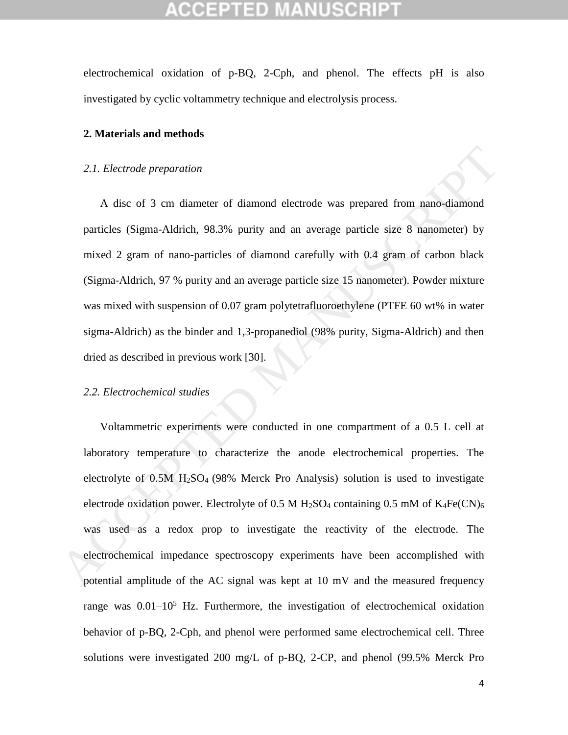electrochemical oxidation of p-BQ, 2-Cph, and phenol. The effects pH is also investigated by cyclic voltammetry technique and electrolysis process.

## **2. Materials and methods**

### *2.1. Electrode preparation*

A disc of 3 cm diameter of diamond electrode was prepared from nano-diamond particles (Sigma-Aldrich, 98.3% purity and an average particle size 8 nanometer) by mixed 2 gram of nano-particles of diamond carefully with 0.4 gram of carbon black (Sigma-Aldrich, 97 % purity and an average particle size 15 nanometer). Powder mixture was mixed with suspension of 0.07 gram polytetrafluoroethylene (PTFE 60 wt% in water sigma-Aldrich) as the binder and 1,3-propanediol (98% purity, Sigma-Aldrich) and then dried as described in previous work [30]. 2.1. *Electrode preparation*<br>
A disc of 3 cm diameter of diamond electrode was prepared from nano-diamond<br>
particles (Sigma-Aldrich, 98.3% purity and an average particle size 8 nanometer) by<br>
mixed 2 gram of nano-particle

## *2.2. Electrochemical studies*

Voltammetric experiments were conducted in one compartment of a 0.5 L cell at laboratory temperature to characterize the anode electrochemical properties. The electrolyte of  $0.5M$  H<sub>2</sub>SO<sub>4</sub> (98% Merck Pro Analysis) solution is used to investigate electrode oxidation power. Electrolyte of 0.5 M H<sub>2</sub>SO<sub>4</sub> containing 0.5 mM of  $K_4Fe(CN)_6$ was used as a redox prop to investigate the reactivity of the electrode. The electrochemical impedance spectroscopy experiments have been accomplished with potential amplitude of the AC signal was kept at 10 mV and the measured frequency range was  $0.01-10^5$  Hz. Furthermore, the investigation of electrochemical oxidation behavior of p-BQ, 2-Cph, and phenol were performed same electrochemical cell. Three solutions were investigated 200 mg/L of p-BQ, 2-CP, and phenol (99.5% Merck Pro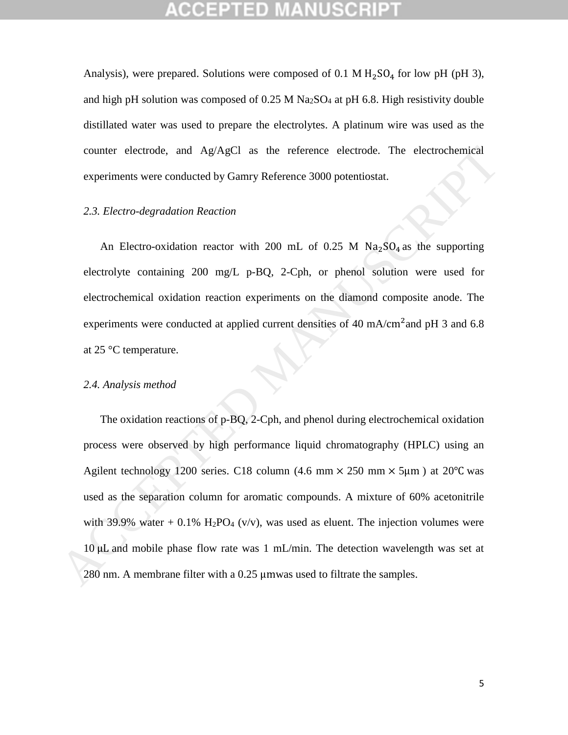Analysis), were prepared. Solutions were composed of 0.1 M  $H<sub>2</sub>SO<sub>4</sub>$  for low pH (pH 3), and high pH solution was composed of  $0.25$  M Na<sub>2</sub>SO<sub>4</sub> at pH 6.8. High resistivity double distillated water was used to prepare the electrolytes. A platinum wire was used as the counter electrode, and Ag/AgCl as the reference electrode. The electrochemical experiments were conducted by Gamry Reference 3000 potentiostat.

## *2.3. Electro-degradation Reaction*

An Electro-oxidation reactor with 200 mL of 0.25 M  $\text{Na}_2\text{SO}_4$  as the supporting electrolyte containing 200 mg/L p-BQ, 2-Cph, or phenol solution were used for electrochemical oxidation reaction experiments on the diamond composite anode. The experiments were conducted at applied current densities of 40 mA/cm<sup>2</sup> and pH 3 and 6.8 at 25 °C temperature.

### *2.4. Analysis method*

The oxidation reactions of p-BQ, 2-Cph, and phenol during electrochemical oxidation process were observed by high performance liquid chromatography (HPLC) using an Agilent technology 1200 series. C18 column (4.6 mm  $\times$  250 mm  $\times$  5µm) at 20°C was used as the separation column for aromatic compounds. A mixture of 60% acetonitrile with 39.9% water + 0.1% H<sub>2</sub>PO<sub>4</sub> (v/v), was used as eluent. The injection volumes were 10 counter electrode, and Ag/AgCl as the reference electrode. The electrochemical<br>
2.3. *Electro-degradation Reaction*<br>
2.3. *Electro-exidation reactor* with 200 mL of 0.25 M Na<sub>2</sub>SO<sub>4</sub> as the supporting<br>
dectrolyte cont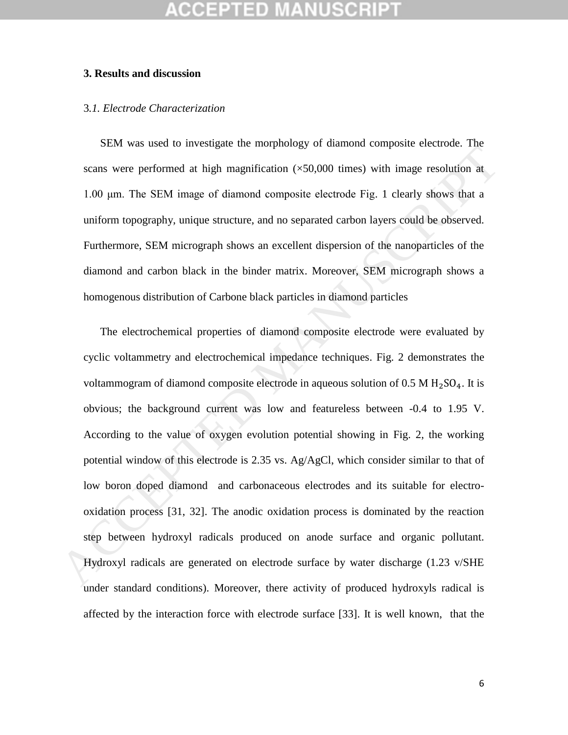### **3. Results and discussion**

### 3*.1. Electrode Characterization*

SEM was used to investigate the morphology of diamond composite electrode. The scans were performed at high magnification  $(\times 50,000)$  times) with image resolution at 1.00 μm. The SEM image of diamond composite electrode Fig. 1 clearly shows that a uniform topography, unique structure, and no separated carbon layers could be observed. Furthermore, SEM micrograph shows an excellent dispersion of the nanoparticles of the diamond and carbon black in the binder matrix. Moreover, SEM micrograph shows a homogenous distribution of Carbone black particles in diamond particles

The electrochemical properties of diamond composite electrode were evaluated by cyclic voltammetry and electrochemical impedance techniques. Fig. 2 demonstrates the voltammogram of diamond composite electrode in aqueous solution of  $0.5 M H_2SO_4$ . It is obvious; the background current was low and featureless between -0.4 to 1.95 V. According to the value of oxygen evolution potential showing in Fig. 2, the working potential window of this electrode is 2.35 vs.  $Ag/AgCl$ , which consider similar to that of low boron doped diamond and carbonaceous electrodes and its suitable for electrooxidation process [31, 32]. The anodic oxidation process is dominated by the reaction step between hydroxyl radicals produced on anode surface and organic pollutant. Hydroxyl radicals are generated on electrode surface by water discharge (1.23 v/SHE under standard conditions). Moreover, there activity of produced hydroxyls radical is affected by the interaction force with electrode surface [33]. It is well known, that the Leman were performed at high magnification ( $\times50,000$  times), with image resolution at<br>seams were performed at high magnification ( $\times50,000$  times) with image resolution at<br>1.00 µm. The SEM image of diamond composite el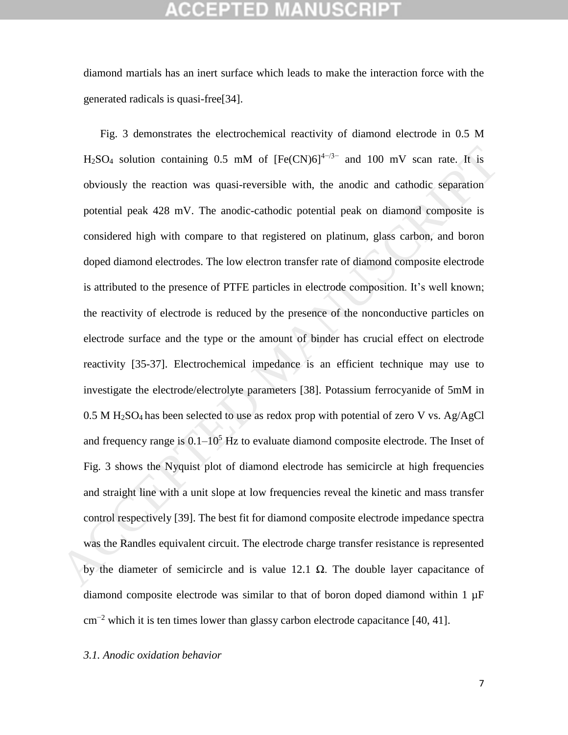diamond martials has an inert surface which leads to make the interaction force with the generated radicals is quasi-free[34].

Fig. 3 demonstrates the electrochemical reactivity of diamond electrode in 0.5 M  $H<sub>2</sub>SO<sub>4</sub>$  solution containing 0.5 mM of  $[Fe(CN)6]^{4-7/3-}$  and 100 mV scan rate. It is obviously the reaction was quasi-reversible with, the anodic and cathodic separation potential peak 428 mV. The anodic-cathodic potential peak on diamond composite is considered high with compare to that registered on platinum, glass carbon, and boron doped diamond electrodes. The low electron transfer rate of diamond composite electrode is attributed to the presence of PTFE particles in electrode composition. It's well known; the reactivity of electrode is reduced by the presence of the nonconductive particles on electrode surface and the type or the amount of binder has crucial effect on electrode reactivity [35-37]. Electrochemical impedance is an efficient technique may use to investigate the electrode/electrolyte parameters [38]. Potassium ferrocyanide of 5mM in  $0.5$  M H<sub>2</sub>SO<sub>4</sub> has been selected to use as redox prop with potential of zero V vs. Ag/AgCl and frequency range is  $0.1-10^5$  Hz to evaluate diamond composite electrode. The Inset of Fig. 3 shows the Nyquist plot of diamond electrode has semicircle at high frequencies and straight line with a unit slope at low frequencies reveal the kinetic and mass transfer control respectively [39]. The best fit for diamond composite electrode impedance spectra was the Randles equivalent circuit. The electrode charge transfer resistance is represented by the diameter of semicircle and is value 12.1  $\Omega$ . The double layer capacitance of diamond composite electrode was similar to that of boron doped diamond within  $1 \mu F$  $\text{cm}^{-2}$  which it is ten times lower than glassy carbon electrode capacitance [40, 41]. H:SO<sub>4</sub> solution containing 0.5 mM of  $[Fe(CN)G]^{4-2}$  and 100 mV scan rate. It is<br>obviously the reaction was quasi-reversible with, the anodic and cathodic separation<br>potential peak 428 mV. The anodic-cathodic potential pe

*3.1. Anodic oxidation behavior*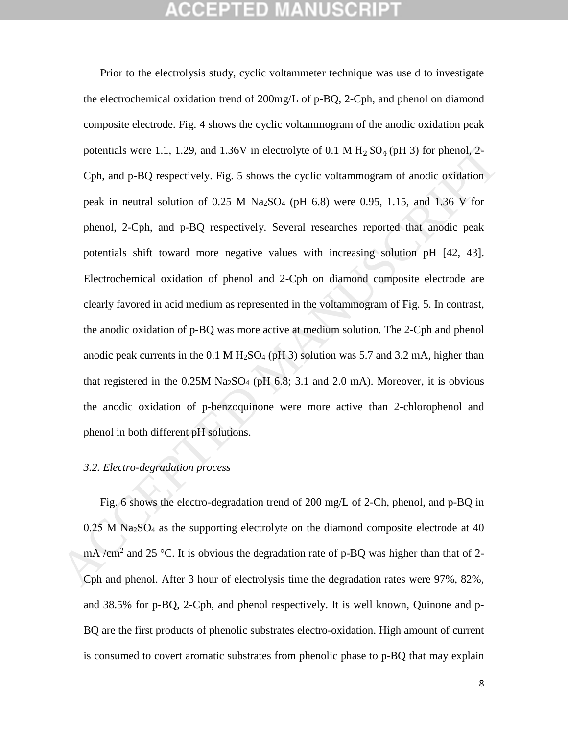# GEPTED

Prior to the electrolysis study, cyclic voltammeter technique was use d to investigate the electrochemical oxidation trend of 200mg/L of p-BQ, 2-Cph, and phenol on diamond composite electrode. Fig. 4 shows the cyclic voltammogram of the anodic oxidation peak potentials were 1.1, 1.29, and 1.36V in electrolyte of 0.1 M  $H_2$  SO<sub>4</sub> (pH 3) for phenol, 2-Cph, and p-BQ respectively. Fig. 5 shows the cyclic voltammogram of anodic oxidation peak in neutral solution of 0.25 M Na<sub>2</sub>SO<sub>4</sub> (pH 6.8) were 0.95, 1.15, and 1.36 V for phenol, 2-Cph, and p-BQ respectively. Several researches reported that anodic peak potentials shift toward more negative values with increasing solution pH [42, 43]. Electrochemical oxidation of phenol and 2-Cph on diamond composite electrode are clearly favored in acid medium as represented in the voltammogram of Fig. 5. In contrast, the anodic oxidation of p-BQ was more active at medium solution. The 2-Cph and phenol anodic peak currents in the 0.1 M  $H<sub>2</sub>SO<sub>4</sub>$  (pH 3) solution was 5.7 and 3.2 mA, higher than that registered in the  $0.25M$  Na<sub>2</sub>SO<sub>4</sub> (pH 6.8; 3.1 and 2.0 mA). Moreover, it is obvious the anodic oxidation of p-benzoquinone were more active than 2-chlorophenol and phenol in both different pH solutions. potentials were 1.1, 1.29, and 1.36V in electrolyte of 0.1 M H<sub>2</sub> SO<sub>4</sub> (pH 3) for phenol, 2-<br>Cph, and p-BQ respectively. Fig. 5 shows the cyclic voltammogram of anodic oxidation<br>peak in neutral solution of 0.25 M Na<sub>2</sub>SO

### *3.2. Electro-degradation process*

Fig. 6 shows the electro-degradation trend of 200 mg/L of 2-Ch, phenol, and p-BQ in  $0.25$  M Na<sub>2</sub>SO<sub>4</sub> as the supporting electrolyte on the diamond composite electrode at 40 mA /cm<sup>2</sup> and 25 °C. It is obvious the degradation rate of p-BQ was higher than that of 2-Cph and phenol. After 3 hour of electrolysis time the degradation rates were 97%, 82%, and 38.5% for p-BQ, 2-Cph, and phenol respectively. It is well known, Quinone and p-BQ are the first products of phenolic substrates electro-oxidation. High amount of current is consumed to covert aromatic substrates from phenolic phase to p-BQ that may explain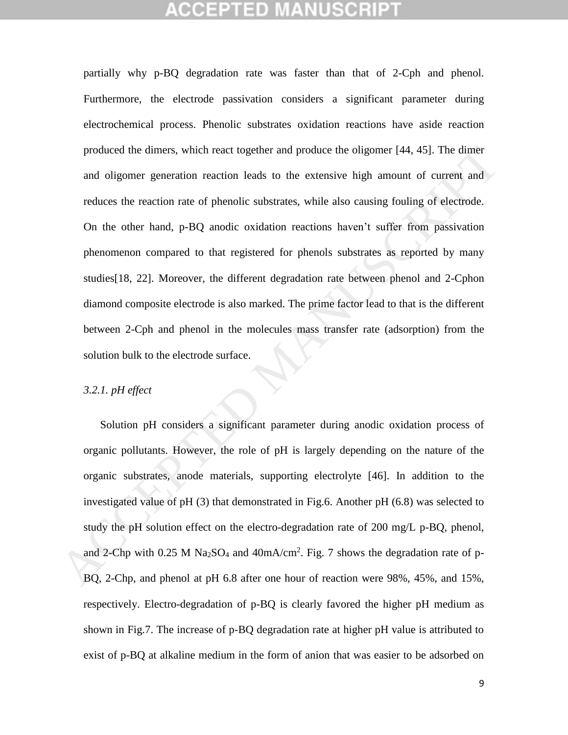partially why p-BQ degradation rate was faster than that of 2-Cph and phenol. Furthermore, the electrode passivation considers a significant parameter during electrochemical process. Phenolic substrates oxidation reactions have aside reaction produced the dimers, which react together and produce the oligomer [44, 45]. The dimer and oligomer generation reaction leads to the extensive high amount of current and reduces the reaction rate of phenolic substrates, while also causing fouling of electrode. On the other hand, p-BQ anodic oxidation reactions haven't suffer from passivation phenomenon compared to that registered for phenols substrates as reported by many studies[18, 22]. Moreover, the different degradation rate between phenol and 2-Cphon diamond composite electrode is also marked. The prime factor lead to that is the different between 2-Cph and phenol in the molecules mass transfer rate (adsorption) from the solution bulk to the electrode surface. produced the dimers, which react together and produce the oligomer [44, 45]. The dimer<br>and oligomer generation reaction leads to the extensive high amount of current and<br>reduces the reaction rate of phenolic substrates, w

## *3.2.1. pH effect*

Solution pH considers a significant parameter during anodic oxidation process of organic pollutants. However, the role of pH is largely depending on the nature of the organic substrates, anode materials, supporting electrolyte [46]. In addition to the investigated value of pH (3) that demonstrated in Fig.6. Another pH (6.8) was selected to study the pH solution effect on the electro-degradation rate of 200 mg/L p-BQ, phenol, and 2-Chp with 0.25 M Na<sub>2</sub>SO<sub>4</sub> and  $40mA/cm<sup>2</sup>$ . Fig. 7 shows the degradation rate of p-BQ, 2-Chp, and phenol at pH 6.8 after one hour of reaction were 98%, 45%, and 15%, respectively. Electro-degradation of p-BQ is clearly favored the higher pH medium as shown in Fig.7. The increase of p-BQ degradation rate at higher pH value is attributed to exist of p-BQ at alkaline medium in the form of anion that was easier to be adsorbed on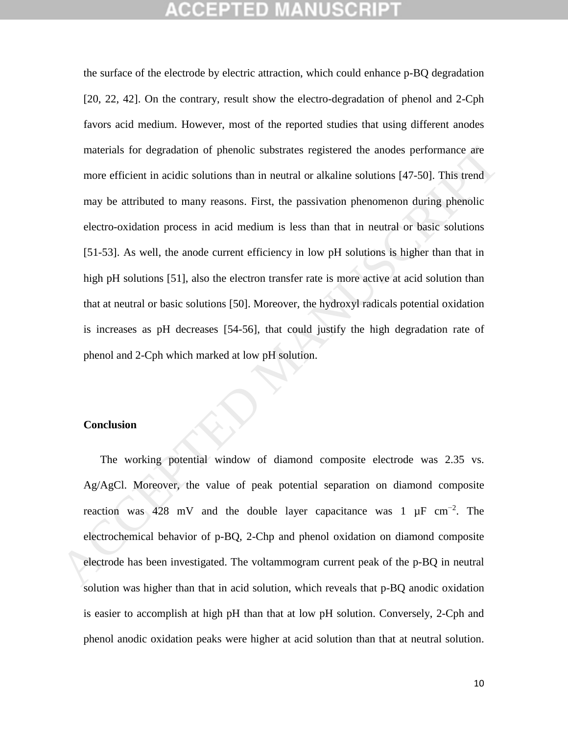the surface of the electrode by electric attraction, which could enhance p-BQ degradation [20, 22, 42]. On the contrary, result show the electro-degradation of phenol and 2-Cph favors acid medium. However, most of the reported studies that using different anodes materials for degradation of phenolic substrates registered the anodes performance are more efficient in acidic solutions than in neutral or alkaline solutions [47-50]. This trend may be attributed to many reasons. First, the passivation phenomenon during phenolic electro-oxidation process in acid medium is less than that in neutral or basic solutions [51-53]. As well, the anode current efficiency in low pH solutions is higher than that in high pH solutions [51], also the electron transfer rate is more active at acid solution than that at neutral or basic solutions [50]. Moreover, the hydroxyl radicals potential oxidation is increases as pH decreases [54-56], that could justify the high degradation rate of phenol and 2-Cph which marked at low pH solution. materials for degradation of phenolic substrates registered the anodes performance are<br>more efficient in acidic solutions than in neutral or alkaline solutions [47-50]. This trend<br>may be attributed to many reasons. First,

## **Conclusion**

The working potential window of diamond composite electrode was 2.35 vs. Ag/AgCl. Moreover, the value of peak potential separation on diamond composite reaction was 428 mV and the double layer capacitance was 1  $\mu$ F cm<sup>-2</sup>. The electrochemical behavior of p-BQ, 2-Chp and phenol oxidation on diamond composite electrode has been investigated. The voltammogram current peak of the p-BQ in neutral solution was higher than that in acid solution, which reveals that p-BQ anodic oxidation is easier to accomplish at high pH than that at low pH solution. Conversely, 2-Cph and phenol anodic oxidation peaks were higher at acid solution than that at neutral solution.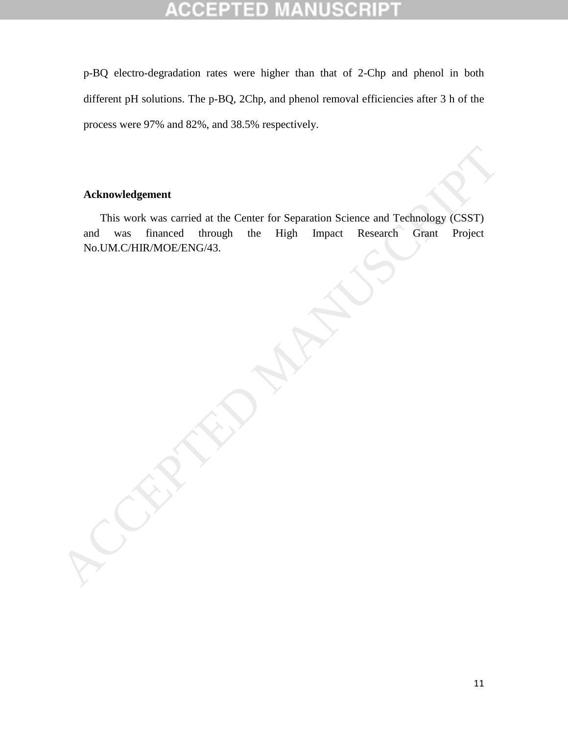### CCEP  $\Box$  D CF

p-BQ electro-degradation rates were higher than that of 2-Chp and phenol in both different pH solutions. The p-BQ, 2Chp, and phenol removal efficiencies after 3 h of the process were 97% and 82%, and 38.5% respectively.

## **Acknowledgement**

This work was carried at the Center for Separation Science and Technology (CSST) and was financed through the High Impact Research Grant Project Acknowledgement<br>
This work was carried at the Center for Separation Science and Technology (CSST)<br>
and was financed through the High Impact Research Grant Project<br>
No.UM.C/HIR/MOE/ENG/43.<br>
ACCEPTED MANUSCRIPT OF THE SERVIC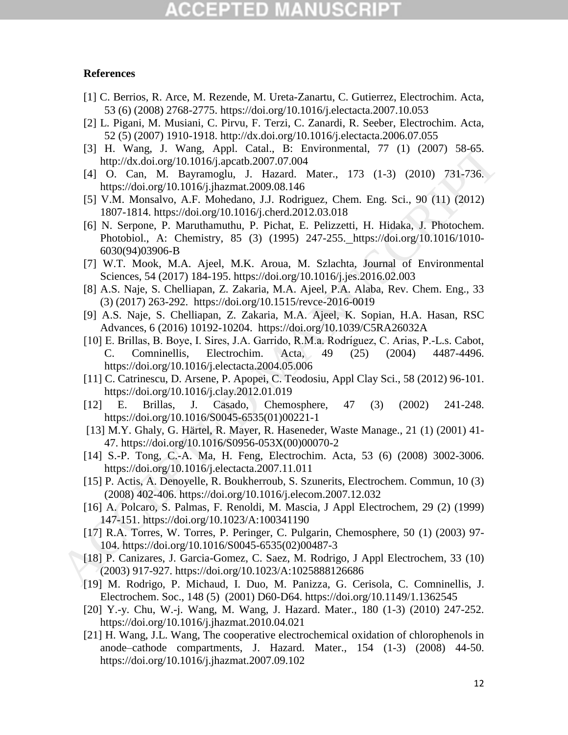# 12 TED

### **References**

- [1] C. Berrios, R. Arce, M. Rezende, M. Ureta-Zanartu, C. Gutierrez, Electrochim. Acta, 53 (6) (2008) 2768-2775. <https://doi.org/10.1016/j.electacta.2007.10.053>
- [2] L. Pigani, M. Musiani, C. Pirvu, F. Terzi, C. Zanardi, R. Seeber, Electrochim. Acta, 52 (5) (2007) 1910-1918. <http://dx.doi.org/10.1016/j.electacta.2006.07.055>
- [3] H. Wang, J. Wang, Appl. Catal., B: Environmental, 77 (1) (2007) 58-65. http://dx.doi.org/10.1016/j.apcatb.2007.07.004
- [4] O. Can, M. Bayramoglu, J. Hazard. Mater., 173 (1-3) (2010) 731-736. https://doi.org/10.1016/j.jhazmat.2009.08.146
- [5] V.M. Monsalvo, A.F. Mohedano, J.J. Rodriguez, Chem. Eng. Sci., 90 (11) (2012) 1807-1814. https://doi.org/10.1016/j.cherd.2012.03.018
- [6] N. Serpone, P. Maruthamuthu, P. Pichat, E. Pelizzetti, H. Hidaka, J. Photochem. Photobiol., A: Chemistry, 85 (3) (1995) 247-255. https://doi.org/10.1016/1010- 6030(94)03906-B
- [7] W.T. Mook, M.A. Ajeel, M.K. Aroua, M. Szlachta, Journal of Environmental Sciences, 54 (2017) 184-195. https://doi.org/10.1016/j.jes.2016.02.003
- [8] A.S. Naje, S. Chelliapan, Z. Zakaria, M.A. Ajeel, P.A. Alaba, Rev. Chem. Eng., 33 (3) (2017) 263-292. https://doi.org/10.1515/revce-2016-0019
- [9] A.S. Naje, S. Chelliapan, Z. Zakaria, M.A. Ajeel, K. Sopian, H.A. Hasan, RSC Advances, 6 (2016) 10192-10204. https://doi.org/10.1039/C5RA26032A
- [10] E. Brillas, B. Boye, I. Sires, J.A. Garrido, R.M.a. Rodríguez, C. Arias, P.-L.s. Cabot, C. Comninellis. Electrochim. Acta. 49 (25) (2004) 4487-4496. C. Comninellis, Electrochim. Acta, 49 (25) (2004) 4487-4496. https://doi.org/10.1016/j.electacta.2004.05.006 13. Wang, J. Wang, Appl. [C](https://doi.org/10.1016/S0045-6535(02)00487-3)atal, B: [E](https://doi.org/10.1016/S0045-6535(01)00221-1)ivironmental, 77 (1) (2007) 58-65.<br>
141 Wang, J. Wang, Appl. Catal, B: Eivironmental, 77 (1) (2007) 38-65.<br>
141 O. Can, M. Bayramoglu, J. Hazard. Mater, 173 (1-3) (2010) 731-736.<br>
141 O
	- [11] C. Catrinescu, D. Arsene, P. Apopei, C. Teodosiu, Appl Clay Sci., 58 (2012) 96-101. https://doi.org/10.1016/j.clay.2012.01.019
	- [12] E. Brillas, J. Casado, Chemosphere, 47 (3) (2002) 241-248. https://doi.org/10.1016/S0045-6535(01)00221-1
	- [13] M.Y. Ghaly, G. Härtel, R. Mayer, R. Haseneder, Waste Manage., 21 (1) (2001) 41- 47. https://doi.org/10.1016/S0956-053X(00)00070-2
	- [14] S.-P. Tong, C.-A. Ma, H. Feng, Electrochim. Acta, 53 (6) (2008) 3002-3006. https://doi.org/10.1016/j.electacta.2007.11.011
	- [15] P. Actis, A. Denoyelle, R. Boukherroub, S. Szunerits, Electrochem. Commun, 10 (3) (2008) 402-406. https://doi.org/10.1016/j.elecom.2007.12.032
	- [16] A. Polcaro, S. Palmas, F. Renoldi, M. Mascia, J Appl Electrochem, 29 (2) (1999) 147-151. https://doi.org/10.1023/A:100341190
	- [17] R.A. Torres, W. Torres, P. Peringer, C. Pulgarin, Chemosphere, 50 (1) (2003) 97- 104. https://doi.org/10.1016/S0045-6535(02)00487-3
	- [18] P. Canizares, J. Garcia-Gomez, C. Saez, M. Rodrigo, J Appl Electrochem, 33 (10) (2003) 917-927. https://doi.org/10.1023/A:1025888126686
	- [19] M. Rodrigo, P. Michaud, I. Duo, M. Panizza, G. Cerisola, C. Comninellis, J. Electrochem. Soc., 148 (5) (2001) D60-D64. https://doi.org/10.1149/1.1362545
	- [20] Y.-y. Chu, W.-j. Wang, M. Wang, J. Hazard. Mater., 180 (1-3) (2010) 247-252. <https://doi.org/10.1016/j.jhazmat.2010.04.021>
	- [21] H. Wang, J.L. Wang, The cooperative electrochemical oxidation of chlorophenols in anode–cathode compartments, J. Hazard. Mater., 154 (1-3) (2008) 44-50. <https://doi.org/10.1016/j.jhazmat.2007.09.102>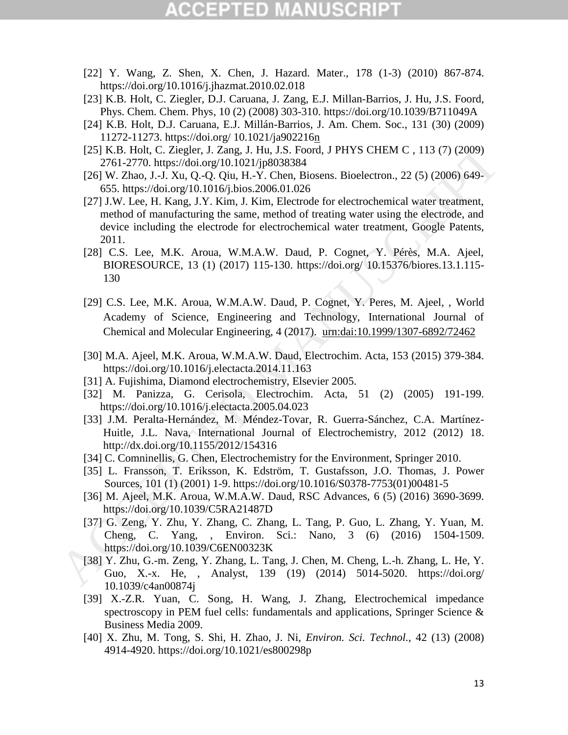# GEPTED

- [22] Y. Wang, Z. Shen, X. Chen, J. Hazard. Mater., 178 (1-3) (2010) 867-874. <https://doi.org/10.1016/j.jhazmat.2010.02.018>
- [23] K.B. Holt, C. Ziegler, D.J. Caruana, J. Zang, E.J. Millan-Barrios, J. Hu, J.S. Foord, Phys. Chem. Chem. Phys, 10 (2) (2008) 303-310. https://doi.org/10.1039/B711049A
- [24] K.B. Holt, D.J. Caruana, E.J. Millán-Barrios, J. Am. Chem. Soc., 131 (30) (2009) 11272-11273. https://doi.org/ 10.1021/ja902216n
- [25] K.B. Holt, C. Ziegler, J. Zang, J. Hu, J.S. Foord, J PHYS CHEM C , 113 (7) (2009) 2761-2770. https://doi.org/10.1021/jp8038384
- [26] W. Zhao, J.-J. Xu, Q.-Q. Qiu, H.-Y. Chen, Biosens. Bioelectron., 22 (5) (2006) 649- 655. https://doi.org/10.1016/j.bios.2006.01.026
- [27] J.W. Lee, H. Kang, J.Y. Kim, J. Kim, Electrode for electrochemical water treatment, method of manufacturing the same, method of treating water using the electrode, and device including the electrode for electrochemical water treatment, Google Patents, 2011. 1251, K.B. Holu, C. Ziegler, J. Z. Zang, J. Hu, J.S. Foord, J. PHYS CHE[M](https://doi.org/10.1016/j.electacta.2014.11.163) C, 113 (7) (2009)<br>
2761-2770. https://do.org/10.1021/ip8038384<br>
685. https://do.org/10.1021/ip8038384<br>
685. https://do.org/10.1005/bios.2006.01.026<br>
	- [28] C.S. Lee, M.K. Aroua, W.M.A.W. Daud, P. Cognet, Y. Pérès, M.A. Ajeel, BIORESOURCE, 13 (1) (2017) 115-130. https://doi.org/ 10.15376/biores.13.1.115- 130
	- [29] C.S. Lee, M.K. Aroua, W.M.A.W. Daud, P. Cognet, Y. Peres, M. Ajeel, , World Academy of Science, Engineering and Technology, International Journal of Chemical and Molecular Engineering, 4 (2017). urn:dai:10.1999/1307-6892/72462
	- [30] M.A. Ajeel, M.K. Aroua, W.M.A.W. Daud, Electrochim. Acta, 153 (2015) 379-384. https://doi.org/10.1016/j.electacta.2014.11.163
	- [31] A. Fujishima, Diamond electrochemistry, Elsevier 2005.
	- [32] M. Panizza, G. Cerisola, Electrochim. Acta, 51 (2) (2005) 191-199. https://doi.org/10.1016/j.electacta.2005.04.023
	- [33] J.M. Peralta-Hernández, M. Méndez-Tovar, R. Guerra-Sánchez, C.A. Martínez-Huitle, J.L. Nava, International Journal of Electrochemistry, 2012 (2012) 18. http://dx.doi.org/10.1155/2012/154316
	- [34] C. Comninellis, G. Chen, Electrochemistry for the Environment, Springer 2010.
	- [35] L. Fransson, T. Eriksson, K. Edström, T. Gustafsson, J.O. Thomas, J. Power Sources, 101 (1) (2001) 1-9. https://doi.org/10.1016/S0378-7753(01)00481-5
	- [36] M. Ajeel, M.K. Aroua, W.M.A.W. Daud, RSC Advances, 6 (5) (2016) 3690-3699. https://doi.org/10.1039/C5RA21487D
	- [37] G. Zeng, Y. Zhu, Y. Zhang, C. Zhang, L. Tang, P. Guo, L. Zhang, Y. Yuan, M. Cheng, C. Yang, , Environ. Sci.: Nano, 3 (6) (2016) 1504-1509. https://doi.org/10.1039/C6EN00323K
	- [38] Y. Zhu, G.-m. Zeng, Y. Zhang, L. Tang, J. Chen, M. Cheng, L.-h. Zhang, L. He, Y. Guo, X.-x. He, , Analyst, 139 (19) (2014) 5014-5020. https://doi.org/ [10.1039/c4an00874j](https://doi.org/10.1039/c4an00874j)
	- [39] X.-Z.R. Yuan, C. Song, H. Wang, J. Zhang, Electrochemical impedance spectroscopy in PEM fuel cells: fundamentals and applications, Springer Science & Business Media 2009.
	- [40] X. Zhu, M. Tong, S. Shi, H. Zhao, J. Ni, *Environ. Sci. Technol.*, 42 (13) (2008) 4914-4920. https://doi.org/10.1021/es800298p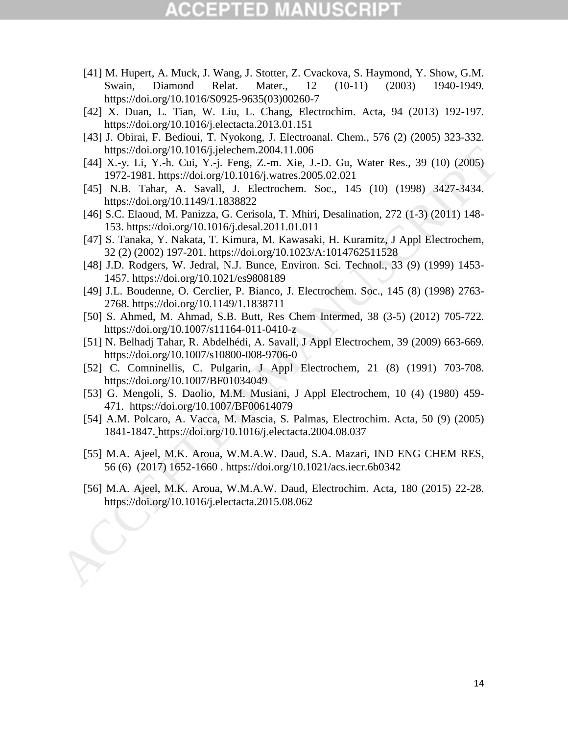# (CEPTED)

- [41] M. Hupert, A. Muck, J. Wang, J. Stotter, Z. Cvackova, S. Haymond, Y. Show, G.M. Swain, Diamond Relat. Mater., 12 (10-11) (2003) 1940-1949. [https://doi.org/10.1016/S0925-9635\(03\)00260-7](https://doi.org/10.1016/S0925-9635(03)00260-7)
- [42] X. Duan, L. Tian, W. Liu, L. Chang, Electrochim. Acta, 94 (2013) 192-197. <https://doi.org/10.1016/j.electacta.2013.01.151>
- [43] J. Obirai, F. Bedioui, T. Nyokong, J. Electroanal. Chem., 576 (2) (2005) 323-332. https://doi.org/10.1016/j.jelechem.2004.11.006
- [44] X.-y. Li, Y.-h. Cui, Y.-j. Feng, Z.-m. Xie, J.-D. Gu, Water Res., 39 (10) (2005) 1972-1981. https://doi.org/10.1016/j.watres.2005.02.021 https://doi.org/10.1016/jdecta.2010.11.1006.11.1006.11.1006.11.1016.11.1006/jwtters.2005.02.021<br>
[44] X.-y. Li, Y.-h. Cni, Y.-j. Feng. Z.-m. Xie, J.-D. Gu, Water Res., 39 (10) (2005)<br>
[45] N.B. Tabar. A. Savall, J. Electro
	- [45] N.B. Tahar, A. Savall, J. Electrochem. Soc., 145 (10) (1998) 3427-3434. https://doi.org/10.1149/1.1838822
	- [46] S.C. Elaoud, M. Panizza, G. Cerisola, T. Mhiri, Desalination, 272 (1-3) (2011) 148- 153. https://doi.org/10.1016/j.desal.2011.01.011
	- [47] S. Tanaka, Y. Nakata, T. Kimura, M. Kawasaki, H. Kuramitz, J Appl Electrochem, 32 (2) (2002) 197-201. https://doi.org/10.1023/A:1014762511528
	- [48] J.D. Rodgers, W. Jedral, N.J. Bunce, Environ. Sci. Technol., 33 (9) (1999) 1453- 1457. https://doi.org/10.1021/es9808189
	- [49] J.L. Boudenne, O. Cerclier, P. Bianco, J. Electrochem. Soc., 145 (8) (1998) 2763- 2768. https://doi.org/10.1149/1.1838711
	- [50] S. Ahmed, M. Ahmad, S.B. Butt, Res Chem Intermed, 38 (3-5) (2012) 705-722. https://doi.org/10.1007/s11164-011-0410-z
	- [51] N. Belhadj Tahar, R. Abdelhédi, A. Savall, J Appl Electrochem, 39 (2009) 663-669. https://doi.org/10.1007/s10800-008-9706-0
	- [52] C. Comninellis, C. Pulgarin, J Appl Electrochem, 21 (8) (1991) 703-708. https://doi.org/10.1007/BF01034049
	- [53] G. Mengoli, S. Daolio, M.M. Musiani, J Appl Electrochem, 10 (4) (1980) 459- 471. https://doi.org/10.1007/BF00614079
	- [54] A.M. Polcaro, A. Vacca, M. Mascia, S. Palmas, Electrochim. Acta, 50 (9) (2005) 1841-1847. https://doi.org/10.1016/j.electacta.2004.08.037
	- [55] M.A. Ajeel, M.K. Aroua, W.M.A.W. Daud, S.A. Mazari, IND ENG CHEM RES, 56 (6) (2017) 1652-1660 . https://doi.org/10.1021/acs.iecr.6b0342
	- [56] M.A. Ajeel, M.K. Aroua, W.M.A.W. Daud, Electrochim. Acta, 180 (2015) 22-28.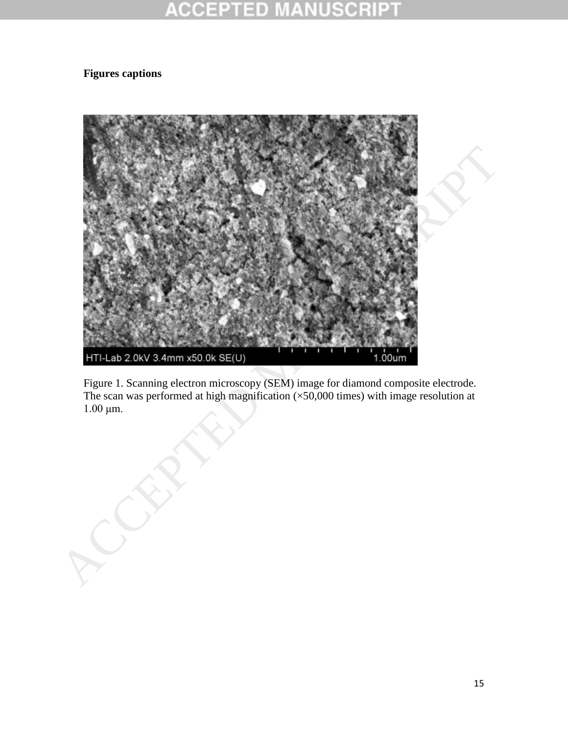### **CCEPTED NUSCRIP** -M A

## **Figures captions**



Figure 1. Scanning electron microscopy (SEM) image for diamond composite electrode. The scan was performed at high magnification (×50,000 times) with image resolution at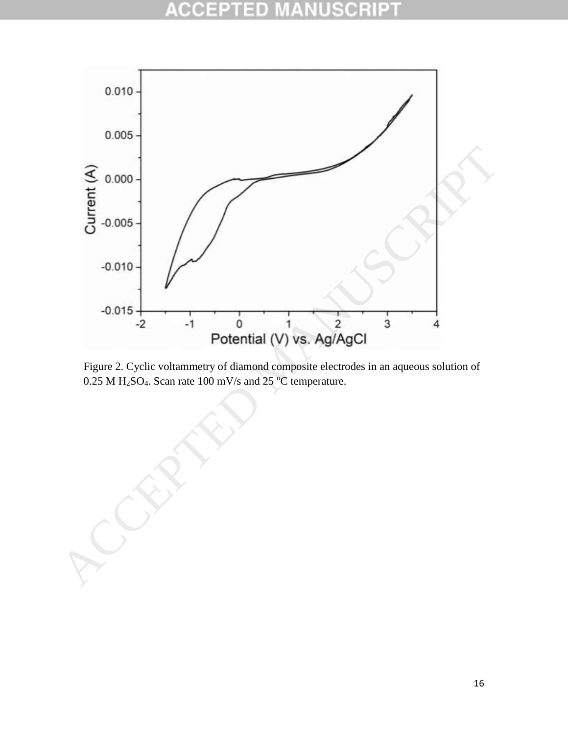### ACC E E D 0



Figure 2. Cyclic voltammetry of diamond composite electrodes in an aqueous solution of

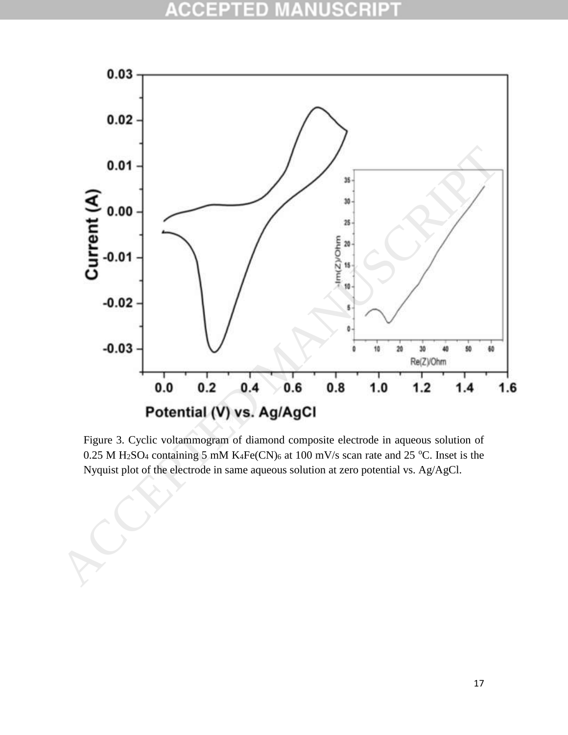### CCEP **SCRIPT** 10 生



Figure 3. Cyclic voltammogram of diamond composite electrode in aqueous solution of 0.25 M H<sub>2</sub>SO<sub>4</sub> containing 5 mM K<sub>4</sub>Fe(CN)<sub>6</sub> at 100 mV/s scan rate and 25 °C. Inset is the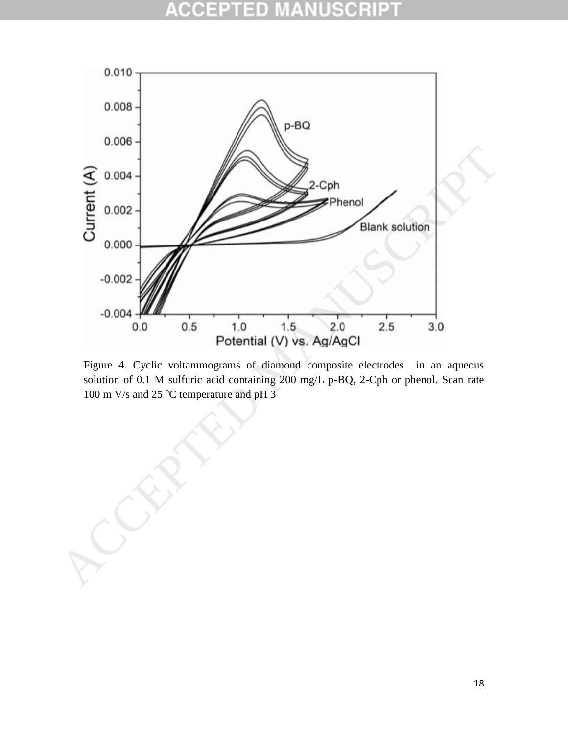# CIO



Figure 4. Cyclic voltammograms of diamond composite electrodes in an aqueous solution of 0.1 M sulfuric acid containing 200 mg/L p-BQ, 2-Cph or phenol. Scan rate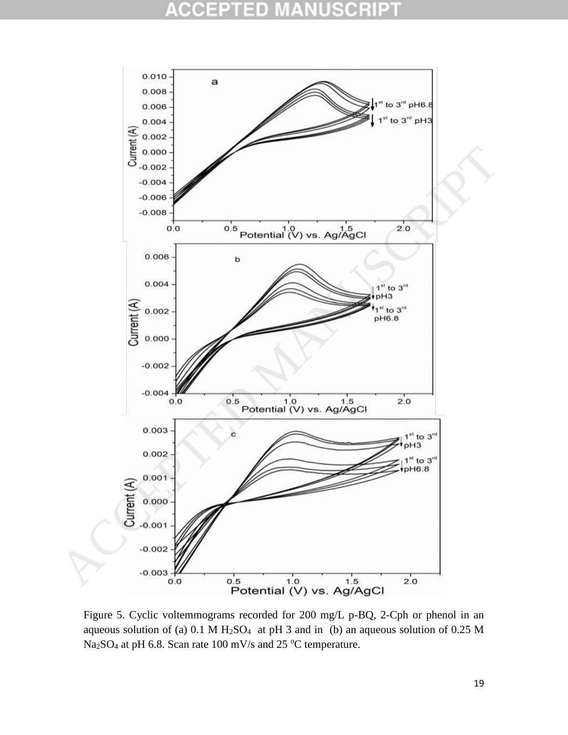### ä, CIC



Figure 5. Cyclic voltemmograms recorded for 200 mg/L p-BQ, 2-Cph or phenol in an aqueous solution of (a)  $0.1 \text{ M H}_2\text{SO}_4$  at pH 3 and in (b) an aqueous solution of 0.25 M Na<sub>2</sub>SO<sub>4</sub> at pH 6.8. Scan rate 100 mV/s and 25 °C temperature.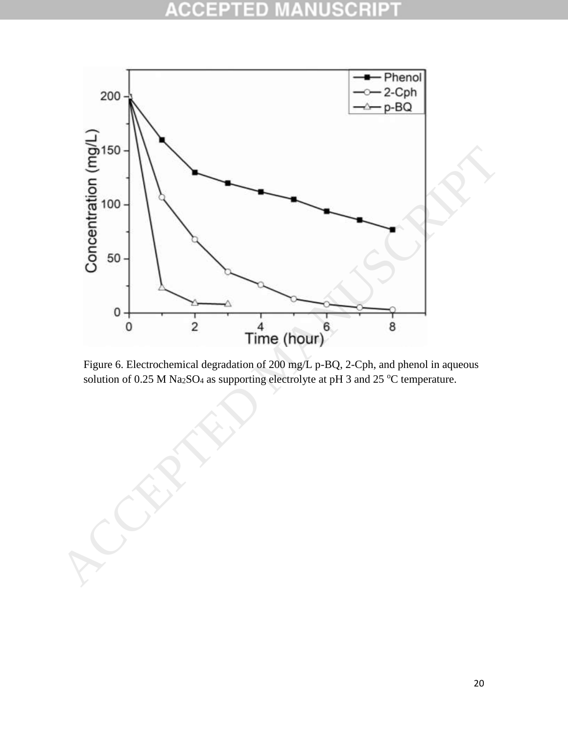### $\rm{cc}$ E D Ė Ŧ 0



Figure 6. Electrochemical degradation of 200 mg/L p-BQ, 2-Cph, and phenol in aqueous solution of 0.25 M Na<sub>2</sub>SO<sub>4</sub> as supporting electrolyte at pH 3 and 25 °C temperature.